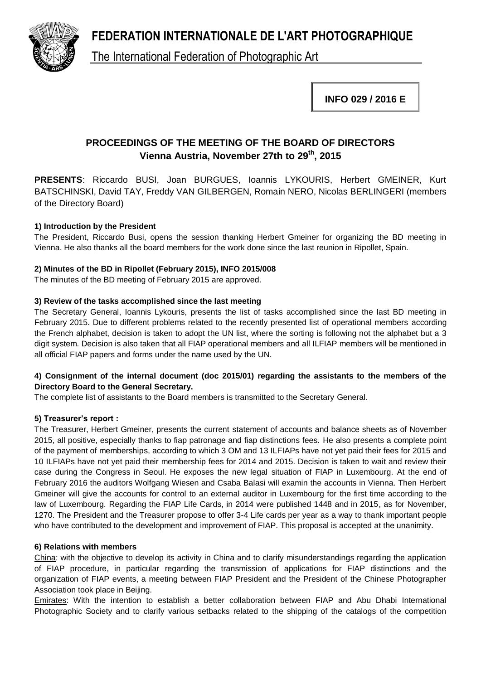**FEDERATION INTERNATIONALE DE L'ART PHOTOGRAPHIQUE**



The International Federation of Photographic Art

**INFO 029 / 2016 E**

# **PROCEEDINGS OF THE MEETING OF THE BOARD OF DIRECTORS Vienna Austria, November 27th to 29th , 2015**

**PRESENTS**: Riccardo BUSI, Joan BURGUES, Ioannis LYKOURIS, Herbert GMEINER, Kurt BATSCHINSKI, David TAY, Freddy VAN GILBERGEN, Romain NERO, Nicolas BERLINGERI (members of the Directory Board)

# **1) Introduction by the President**

The President, Riccardo Busi, opens the session thanking Herbert Gmeiner for organizing the BD meeting in Vienna. He also thanks all the board members for the work done since the last reunion in Ripollet, Spain.

# **2) Minutes of the BD in Ripollet (February 2015), INFO 2015/008**

The minutes of the BD meeting of February 2015 are approved.

# **3) Review of the tasks accomplished since the last meeting**

The Secretary General, Ioannis Lykouris, presents the list of tasks accomplished since the last BD meeting in February 2015. Due to different problems related to the recently presented list of operational members according the French alphabet, decision is taken to adopt the UN list, where the sorting is following not the alphabet but a 3 digit system. Decision is also taken that all FIAP operational members and all ILFIAP members will be mentioned in all official FIAP papers and forms under the name used by the UN.

# **4) Consignment of the internal document (doc 2015/01) regarding the assistants to the members of the Directory Board to the General Secretary.**

The complete list of assistants to the Board members is transmitted to the Secretary General.

# **5) Treasurer's report :**

The Treasurer, Herbert Gmeiner, presents the current statement of accounts and balance sheets as of November 2015, all positive, especially thanks to fiap patronage and fiap distinctions fees. He also presents a complete point of the payment of memberships, according to which 3 OM and 13 ILFIAPs have not yet paid their fees for 2015 and 10 ILFIAPs have not yet paid their membership fees for 2014 and 2015. Decision is taken to wait and review their case during the Congress in Seoul. He exposes the new legal situation of FIAP in Luxembourg. At the end of February 2016 the auditors Wolfgang Wiesen and Csaba Balasi will examin the accounts in Vienna. Then Herbert Gmeiner will give the accounts for control to an external auditor in Luxembourg for the first time according to the law of Luxembourg. Regarding the FIAP Life Cards, in 2014 were published 1448 and in 2015, as for November, 1270. The President and the Treasurer propose to offer 3-4 Life cards per year as a way to thank important people who have contributed to the development and improvement of FIAP. This proposal is accepted at the unanimity.

# **6) Relations with members**

China: with the objective to develop its activity in China and to clarify misunderstandings regarding the application of FIAP procedure, in particular regarding the transmission of applications for FIAP distinctions and the organization of FIAP events, a meeting between FIAP President and the President of the Chinese Photographer Association took place in Beijing.

Emirates: With the intention to establish a better collaboration between FIAP and Abu Dhabi International Photographic Society and to clarify various setbacks related to the shipping of the catalogs of the competition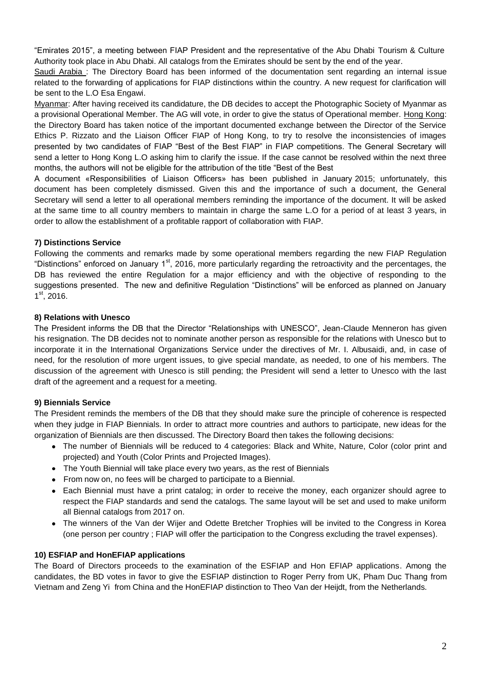"Emirates 2015", a meeting between FIAP President and the representative of the Abu Dhabi Tourism & Culture Authority took place in Abu Dhabi. All catalogs from the Emirates should be sent by the end of the year.

Saudi Arabia : The Directory Board has been informed of the documentation sent regarding an internal issue related to the forwarding of applications for FIAP distinctions within the country. A new request for clarification will be sent to the L.O Esa Engawi.

Myanmar: After having received its candidature, the DB decides to accept the Photographic Society of Myanmar as a provisional Operational Member. The AG will vote, in order to give the status of Operational member. Hong Kong: the Directory Board has taken notice of the important documented exchange between the Director of the Service Ethics P. Rizzato and the Liaison Officer FIAP of Hong Kong, to try to resolve the inconsistencies of images presented by two candidates of FIAP "Best of the Best FIAP" in FIAP competitions. The General Secretary will send a letter to Hong Kong L.O asking him to clarify the issue. If the case cannot be resolved within the next three months, the authors will not be eligible for the attribution of the title "Best of the Best

A document «Responsibilities of Liaison Officers» has been published in January 2015; unfortunately, this document has been completely dismissed. Given this and the importance of such a document, the General Secretary will send a letter to all operational members reminding the importance of the document. It will be asked at the same time to all country members to maintain in charge the same L.O for a period of at least 3 years, in order to allow the establishment of a profitable rapport of collaboration with FIAP.

# **7) Distinctions Service**

Following the comments and remarks made by some operational members regarding the new FIAP Regulation "Distinctions" enforced on January 1<sup>st</sup>, 2016, more particularly regarding the retroactivity and the percentages, the DB has reviewed the entire Regulation for a major efficiency and with the objective of responding to the suggestions presented. The new and definitive Regulation "Distinctions" will be enforced as planned on January 1 st, 2016.

# **8) Relations with Unesco**

The President informs the DB that the Director "Relationships with UNESCO", Jean-Claude Menneron has given his resignation. The DB decides not to nominate another person as responsible for the relations with Unesco but to incorporate it in the International Organizations Service under the directives of Mr. I. Albusaidi, and, in case of need, for the resolution of more urgent issues, to give special mandate, as needed, to one of his members. The discussion of the agreement with Unesco is still pending; the President will send a letter to Unesco with the last draft of the agreement and a request for a meeting.

# **9) Biennials Service**

The President reminds the members of the DB that they should make sure the principle of coherence is respected when they judge in FIAP Biennials. In order to attract more countries and authors to participate, new ideas for the organization of Biennials are then discussed. The Directory Board then takes the following decisions:

- The number of Biennials will be reduced to 4 categories: Black and White, Nature, Color (color print and projected) and Youth (Color Prints and Projected Images).
- The Youth Biennial will take place every two years, as the rest of Biennials
- From now on, no fees will be charged to participate to a Biennial.
- Each Biennial must have a print catalog; in order to receive the money, each organizer should agree to  $\bullet$ respect the FIAP standards and send the catalogs. The same layout will be set and used to make uniform all Biennal catalogs from 2017 on.
- The winners of the Van der Wijer and Odette Bretcher Trophies will be invited to the Congress in Korea (one person per country ; FIAP will offer the participation to the Congress excluding the travel expenses).

# **10) ESFIAP and HonEFIAP applications**

The Board of Directors proceeds to the examination of the ESFIAP and Hon EFIAP applications. Among the candidates, the BD votes in favor to give the ESFIAP distinction to Roger Perry from UK, Pham Duc Thang from Vietnam and Zeng Yi from China and the HonEFIAP distinction to Theo Van der Heijdt, from the Netherlands.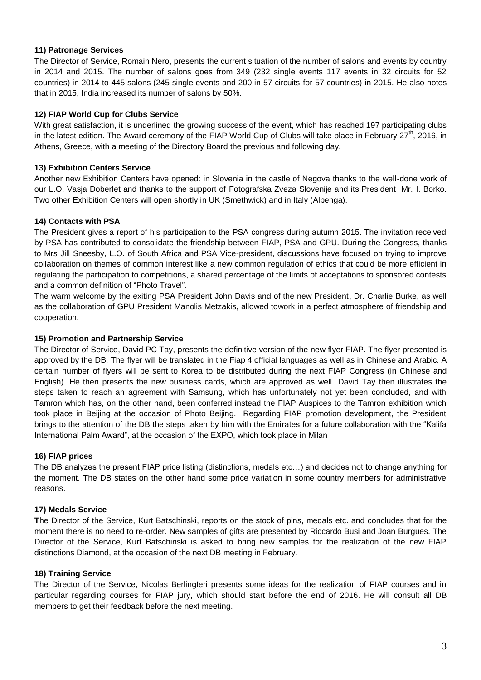### **11) Patronage Services**

The Director of Service, Romain Nero, presents the current situation of the number of salons and events by country in 2014 and 2015. The number of salons goes from 349 (232 single events 117 events in 32 circuits for 52 countries) in 2014 to 445 salons (245 single events and 200 in 57 circuits for 57 countries) in 2015. He also notes that in 2015, India increased its number of salons by 50%.

## **12) FIAP World Cup for Clubs Service**

With great satisfaction, it is underlined the growing success of the event, which has reached 197 participating clubs in the latest edition. The Award ceremony of the FIAP World Cup of Clubs will take place in February 27<sup>th</sup>, 2016, in Athens, Greece, with a meeting of the Directory Board the previous and following day.

## **13) Exhibition Centers Service**

Another new Exhibition Centers have opened: in Slovenia in the castle of Negova thanks to the well-done work of our L.O. Vasja Doberlet and thanks to the support of Fotografska Zveza Slovenije and its President Mr. I. Borko. Two other Exhibition Centers will open shortly in UK (Smethwick) and in Italy (Albenga).

## **14) Contacts with PSA**

The President gives a report of his participation to the PSA congress during autumn 2015. The invitation received by PSA has contributed to consolidate the friendship between FIAP, PSA and GPU. During the Congress, thanks to Mrs Jill Sneesby, L.O. of South Africa and PSA Vice-president, discussions have focused on trying to improve collaboration on themes of common interest like a new common regulation of ethics that could be more efficient in regulating the participation to competitions, a shared percentage of the limits of acceptations to sponsored contests and a common definition of "Photo Travel".

The warm welcome by the exiting PSA President John Davis and of the new President, Dr. Charlie Burke, as well as the collaboration of GPU President Manolis Metzakis, allowed towork in a perfect atmosphere of friendship and cooperation.

## **15) Promotion and Partnership Service**

The Director of Service, David PC Tay, presents the definitive version of the new flyer FIAP. The flyer presented is approved by the DB. The flyer will be translated in the Fiap 4 official languages as well as in Chinese and Arabic. A certain number of flyers will be sent to Korea to be distributed during the next FIAP Congress (in Chinese and English). He then presents the new business cards, which are approved as well. David Tay then illustrates the steps taken to reach an agreement with Samsung, which has unfortunately not yet been concluded, and with Tamron which has, on the other hand, been conferred instead the FIAP Auspices to the Tamron exhibition which took place in Beijing at the occasion of Photo Beijing. Regarding FIAP promotion development, the President brings to the attention of the DB the steps taken by him with the Emirates for a future collaboration with the "Kalifa International Palm Award", at the occasion of the EXPO, which took place in Milan

### **16) FIAP prices**

The DB analyzes the present FIAP price listing (distinctions, medals etc…) and decides not to change anything for the moment. The DB states on the other hand some price variation in some country members for administrative reasons.

### **17) Medals Service**

**T**he Director of the Service, Kurt Batschinski, reports on the stock of pins, medals etc. and concludes that for the moment there is no need to re-order. New samples of gifts are presented by Riccardo Busi and Joan Burgues. The Director of the Service, Kurt Batschinski is asked to bring new samples for the realization of the new FIAP distinctions Diamond, at the occasion of the next DB meeting in February.

### **18) Training Service**

The Director of the Service, Nicolas BerlingIeri presents some ideas for the realization of FIAP courses and in particular regarding courses for FIAP jury, which should start before the end of 2016. He will consult all DB members to get their feedback before the next meeting.